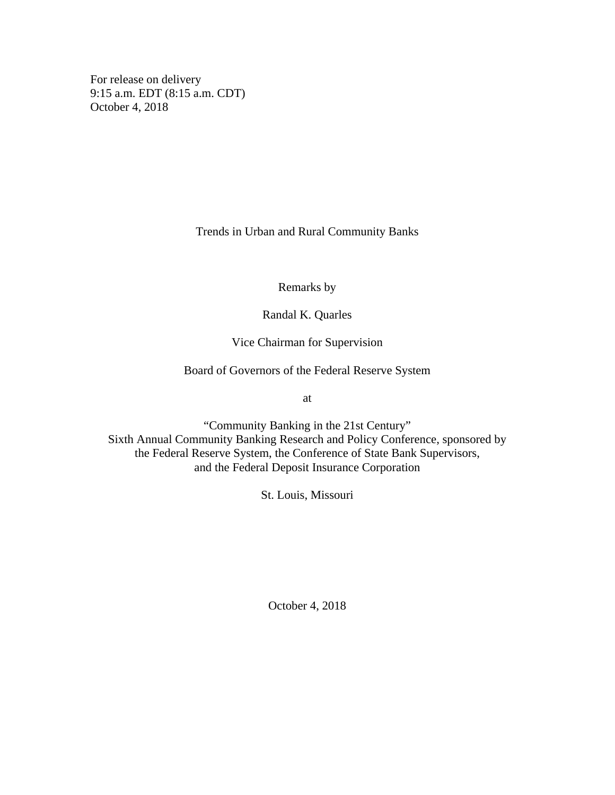For release on delivery 9:15 a.m. EDT (8:15 a.m. CDT) October 4, 2018

Trends in Urban and Rural Community Banks

Remarks by

Randal K. Quarles

Vice Chairman for Supervision

Board of Governors of the Federal Reserve System

at

"Community Banking in the 21st Century" Sixth Annual Community Banking Research and Policy Conference, sponsored by the Federal Reserve System, the Conference of State Bank Supervisors, and the Federal Deposit Insurance Corporation

St. Louis, Missouri

October 4, 2018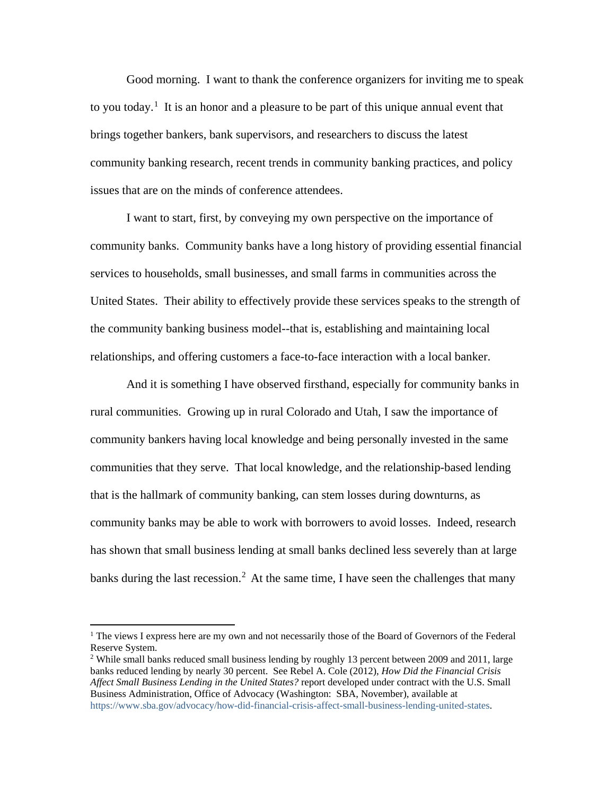Good morning. I want to thank the conference organizers for inviting me to speak to you today.<sup>[1](#page-1-0)</sup> It is an honor and a pleasure to be part of this unique annual event that brings together bankers, bank supervisors, and researchers to discuss the latest community banking research, recent trends in community banking practices, and policy issues that are on the minds of conference attendees.

I want to start, first, by conveying my own perspective on the importance of community banks. Community banks have a long history of providing essential financial services to households, small businesses, and small farms in communities across the United States. Their ability to effectively provide these services speaks to the strength of the community banking business model--that is, establishing and maintaining local relationships, and offering customers a face-to-face interaction with a local banker.

And it is something I have observed firsthand, especially for community banks in rural communities. Growing up in rural Colorado and Utah, I saw the importance of community bankers having local knowledge and being personally invested in the same communities that they serve. That local knowledge, and the relationship-based lending that is the hallmark of community banking, can stem losses during downturns, as community banks may be able to work with borrowers to avoid losses. Indeed, research has shown that small business lending at small banks declined less severely than at large banks during the last recession.<sup>[2](#page-1-1)</sup> At the same time, I have seen the challenges that many

<span id="page-1-0"></span> <sup>1</sup> The views I express here are my own and not necessarily those of the Board of Governors of the Federal Reserve System.

<span id="page-1-1"></span><sup>&</sup>lt;sup>2</sup> While small banks reduced small business lending by roughly 13 percent between 2009 and 2011, large banks reduced lending by nearly 30 percent. See Rebel A. Cole (2012), *How Did the Financial Crisis Affect Small Business Lending in the United States?* report developed under contract with the U.S. Small Business Administration, Office of Advocacy (Washington: SBA, November), available at [https://www.sba.gov/advocacy/how-did-financial-crisis-affect-small-business-lending-united-states.](https://www.sba.gov/advocacy/how-did-financial-crisis-affect-small-business-lending-united-states)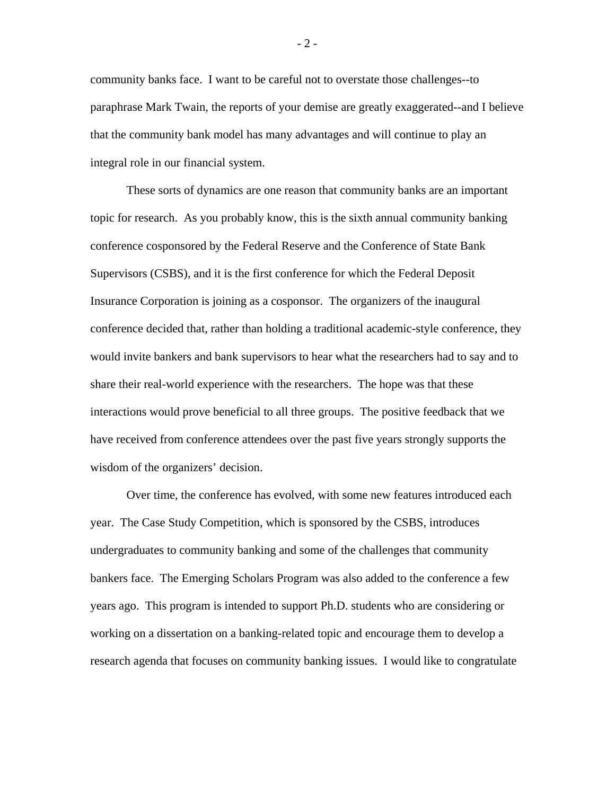community banks face. I want to be careful not to overstate those challenges--to paraphrase Mark Twain, the reports of your demise are greatly exaggerated--and I believe that the community bank model has many advantages and will continue to play an integral role in our financial system.

These sorts of dynamics are one reason that community banks are an important topic for research. As you probably know, this is the sixth annual community banking conference cosponsored by the Federal Reserve and the Conference of State Bank Supervisors (CSBS), and it is the first conference for which the Federal Deposit Insurance Corporation is joining as a cosponsor. The organizers of the inaugural conference decided that, rather than holding a traditional academic-style conference, they would invite bankers and bank supervisors to hear what the researchers had to say and to share their real-world experience with the researchers. The hope was that these interactions would prove beneficial to all three groups. The positive feedback that we have received from conference attendees over the past five years strongly supports the wisdom of the organizers' decision.

Over time, the conference has evolved, with some new features introduced each year. The Case Study Competition, which is sponsored by the CSBS, introduces undergraduates to community banking and some of the challenges that community bankers face. The Emerging Scholars Program was also added to the conference a few years ago. This program is intended to support Ph.D. students who are considering or working on a dissertation on a banking-related topic and encourage them to develop a research agenda that focuses on community banking issues. I would like to congratulate

- 2 -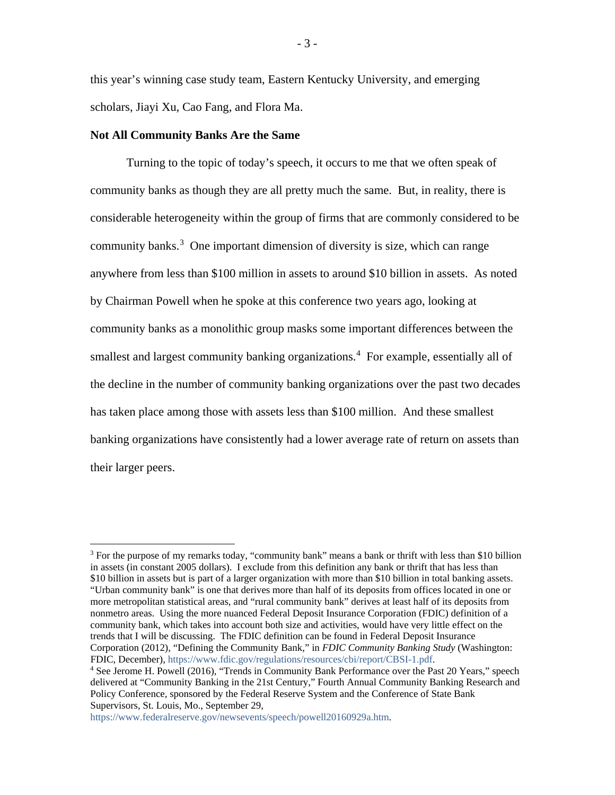this year's winning case study team, Eastern Kentucky University, and emerging scholars, Jiayi Xu, Cao Fang, and Flora Ma.

### **Not All Community Banks Are the Same**

Turning to the topic of today's speech, it occurs to me that we often speak of community banks as though they are all pretty much the same. But, in reality, there is considerable heterogeneity within the group of firms that are commonly considered to be community banks.<sup>[3](#page-3-0)</sup> One important dimension of diversity is size, which can range anywhere from less than \$100 million in assets to around \$10 billion in assets. As noted by Chairman Powell when he spoke at this conference two years ago, looking at community banks as a monolithic group masks some important differences between the smallest and largest community banking organizations.<sup>[4](#page-3-1)</sup> For example, essentially all of the decline in the number of community banking organizations over the past two decades has taken place among those with assets less than \$100 million. And these smallest banking organizations have consistently had a lower average rate of return on assets than their larger peers.

<span id="page-3-0"></span><sup>&</sup>lt;sup>3</sup> For the purpose of my remarks today, "community bank" means a bank or thrift with less than \$10 billion in assets (in constant 2005 dollars). I exclude from this definition any bank or thrift that has less than \$10 billion in assets but is part of a larger organization with more than \$10 billion in total banking assets. "Urban community bank" is one that derives more than half of its deposits from offices located in one or more metropolitan statistical areas, and "rural community bank" derives at least half of its deposits from nonmetro areas. Using the more nuanced Federal Deposit Insurance Corporation (FDIC) definition of a community bank, which takes into account both size and activities, would have very little effect on the trends that I will be discussing. The FDIC definition can be found in Federal Deposit Insurance Corporation (2012), "Defining the Community Bank," in *FDIC Community Banking Study* (Washington: FDIC, December), [https://www.fdic.gov/regulations/resources/cbi/report/CBSI-1.pdf.](https://www.fdic.gov/regulations/resources/cbi/report/CBSI-1.pdf)

<span id="page-3-1"></span><sup>4</sup> See Jerome H. Powell (2016), "Trends in Community Bank Performance over the Past 20 Years," speech delivered at "Community Banking in the 21st Century," Fourth Annual Community Banking Research and Policy Conference, sponsored by the Federal Reserve System and the Conference of State Bank Supervisors, St. Louis, Mo., September 29,

[https://www.federalreserve.gov/newsevents/speech/powell20160929a.htm.](https://www.federalreserve.gov/newsevents/speech/powell20160929a.htm)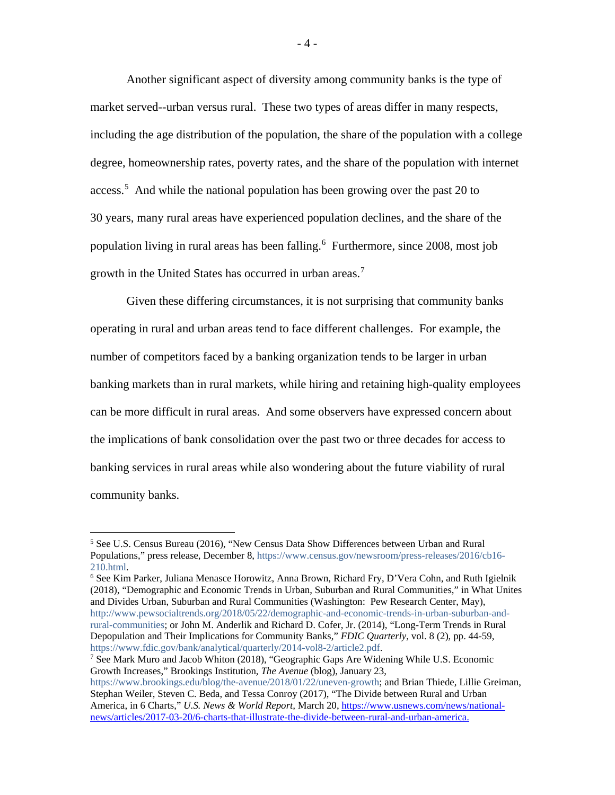Another significant aspect of diversity among community banks is the type of market served--urban versus rural. These two types of areas differ in many respects, including the age distribution of the population, the share of the population with a college degree, homeownership rates, poverty rates, and the share of the population with internet access.<sup>[5](#page-4-0)</sup> And while the national population has been growing over the past 20 to 30 years, many rural areas have experienced population declines, and the share of the population living in rural areas has been falling.[6](#page-4-1) Furthermore, since 2008, most job growth in the United States has occurred in urban areas.<sup>[7](#page-4-2)</sup>

Given these differing circumstances, it is not surprising that community banks operating in rural and urban areas tend to face different challenges. For example, the number of competitors faced by a banking organization tends to be larger in urban banking markets than in rural markets, while hiring and retaining high-quality employees can be more difficult in rural areas. And some observers have expressed concern about the implications of bank consolidation over the past two or three decades for access to banking services in rural areas while also wondering about the future viability of rural community banks.

<span id="page-4-1"></span><sup>6</sup> See Kim Parker, Juliana Menasce Horowitz, Anna Brown, Richard Fry, D'Vera Cohn, and Ruth Igielnik (2018), "Demographic and Economic Trends in Urban, Suburban and Rural Communities," in What Unites and Divides Urban, Suburban and Rural Communities (Washington: Pew Research Center, May), [http://www.pewsocialtrends.org/2018/05/22/demographic-and-economic-trends-in-urban-suburban-and](http://www.pewsocialtrends.org/2018/05/22/demographic-and-economic-trends-in-urban-suburban-and-rural-communities/)[rural-communities;](http://www.pewsocialtrends.org/2018/05/22/demographic-and-economic-trends-in-urban-suburban-and-rural-communities/) or John M. Anderlik and Richard D. Cofer, Jr. (2014), "Long-Term Trends in Rural Depopulation and Their Implications for Community Banks," *FDIC Quarterly*, vol. 8 (2), pp. 44-59, [https://www.fdic.gov/bank/analytical/quarterly/2014-vol8-2/article2.pdf.](https://www.fdic.gov/bank/analytical/quarterly/2014-vol8-2/article2.pdf)<br><sup>7</sup> See Mark Muro and Jacob Whiton (2018), "Geographic Gaps Are Widening While U.S. Economic

<span id="page-4-2"></span>Growth Increases," Brookings Institution, *The Avenue* (blog), January 23,

[https://www.brookings.edu/blog/the-avenue/2018/01/22/uneven-growth;](https://www.brookings.edu/blog/the-avenue/2018/01/22/uneven-growth/) and Brian Thiede, Lillie Greiman, Stephan Weiler, Steven C. Beda, and Tessa Conroy (2017), "The Divide between Rural and Urban America, in 6 Charts," *U.S. News & World Report,* March 20, [https://www.usnews.com/news/national](https://www.usnews.com/news/national-news/articles/2017-03-20/6-charts-that-illustrate-the-divide-between-rural-and-urban-america)[news/articles/2017-03-20/6-charts-that-illustrate-the-divide-between-rural-and-urban-america.](https://www.usnews.com/news/national-news/articles/2017-03-20/6-charts-that-illustrate-the-divide-between-rural-and-urban-america)

<span id="page-4-0"></span><sup>&</sup>lt;sup>5</sup> See U.S. Census Bureau (2016), "New Census Data Show Differences between Urban and Rural Populations," press release, December 8, [https://www.census.gov/newsroom/press-releases/2016/cb16-](https://www.census.gov/newsroom/press-releases/2016/cb16-210.html) [210.html.](https://www.census.gov/newsroom/press-releases/2016/cb16-210.html)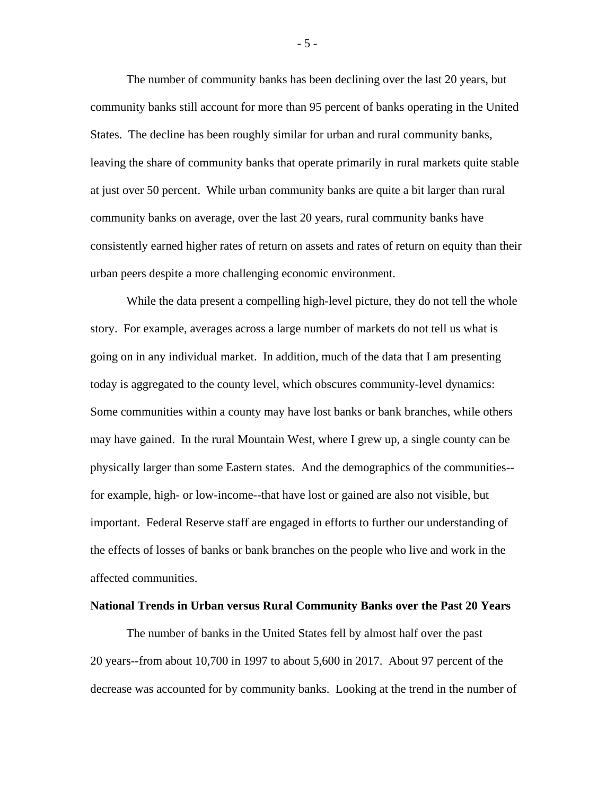The number of community banks has been declining over the last 20 years, but community banks still account for more than 95 percent of banks operating in the United States. The decline has been roughly similar for urban and rural community banks, leaving the share of community banks that operate primarily in rural markets quite stable at just over 50 percent. While urban community banks are quite a bit larger than rural community banks on average, over the last 20 years, rural community banks have consistently earned higher rates of return on assets and rates of return on equity than their urban peers despite a more challenging economic environment.

While the data present a compelling high-level picture, they do not tell the whole story. For example, averages across a large number of markets do not tell us what is going on in any individual market. In addition, much of the data that I am presenting today is aggregated to the county level, which obscures community-level dynamics: Some communities within a county may have lost banks or bank branches, while others may have gained. In the rural Mountain West, where I grew up, a single county can be physically larger than some Eastern states. And the demographics of the communities- for example, high- or low-income--that have lost or gained are also not visible, but important. Federal Reserve staff are engaged in efforts to further our understanding of the effects of losses of banks or bank branches on the people who live and work in the affected communities.

#### **National Trends in Urban versus Rural Community Banks over the Past 20 Years**

The number of banks in the United States fell by almost half over the past 20 years--from about 10,700 in 1997 to about 5,600 in 2017. About 97 percent of the decrease was accounted for by community banks. Looking at the trend in the number of

- 5 -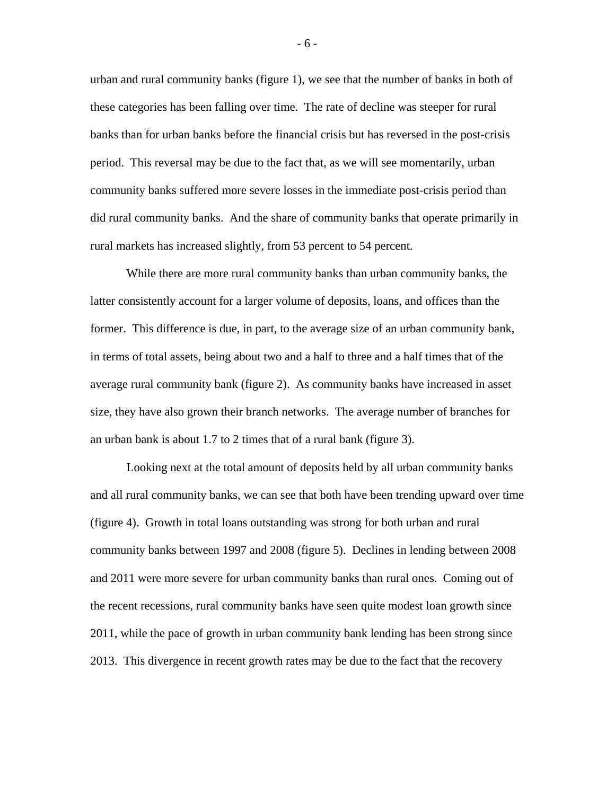urban and rural community banks (figure 1), we see that the number of banks in both of these categories has been falling over time. The rate of decline was steeper for rural banks than for urban banks before the financial crisis but has reversed in the post-crisis period. This reversal may be due to the fact that, as we will see momentarily, urban community banks suffered more severe losses in the immediate post-crisis period than did rural community banks. And the share of community banks that operate primarily in rural markets has increased slightly, from 53 percent to 54 percent.

While there are more rural community banks than urban community banks, the latter consistently account for a larger volume of deposits, loans, and offices than the former. This difference is due, in part, to the average size of an urban community bank, in terms of total assets, being about two and a half to three and a half times that of the average rural community bank (figure 2). As community banks have increased in asset size, they have also grown their branch networks. The average number of branches for an urban bank is about 1.7 to 2 times that of a rural bank (figure 3).

Looking next at the total amount of deposits held by all urban community banks and all rural community banks, we can see that both have been trending upward over time (figure 4). Growth in total loans outstanding was strong for both urban and rural community banks between 1997 and 2008 (figure 5). Declines in lending between 2008 and 2011 were more severe for urban community banks than rural ones. Coming out of the recent recessions, rural community banks have seen quite modest loan growth since 2011, while the pace of growth in urban community bank lending has been strong since 2013. This divergence in recent growth rates may be due to the fact that the recovery

- 6 -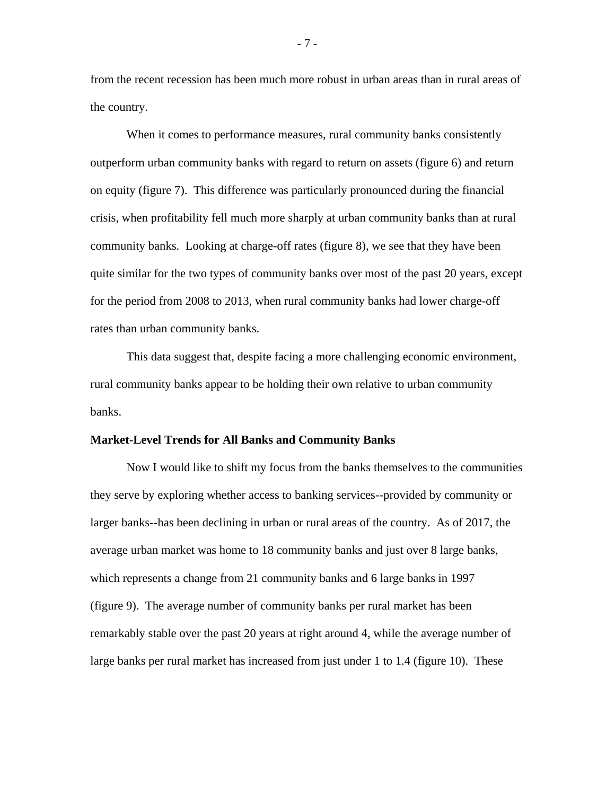from the recent recession has been much more robust in urban areas than in rural areas of the country.

When it comes to performance measures, rural community banks consistently outperform urban community banks with regard to return on assets (figure 6) and return on equity (figure 7). This difference was particularly pronounced during the financial crisis, when profitability fell much more sharply at urban community banks than at rural community banks. Looking at charge-off rates (figure 8), we see that they have been quite similar for the two types of community banks over most of the past 20 years, except for the period from 2008 to 2013, when rural community banks had lower charge-off rates than urban community banks.

This data suggest that, despite facing a more challenging economic environment, rural community banks appear to be holding their own relative to urban community banks.

#### **Market-Level Trends for All Banks and Community Banks**

Now I would like to shift my focus from the banks themselves to the communities they serve by exploring whether access to banking services--provided by community or larger banks--has been declining in urban or rural areas of the country. As of 2017, the average urban market was home to 18 community banks and just over 8 large banks, which represents a change from 21 community banks and 6 large banks in 1997 (figure 9). The average number of community banks per rural market has been remarkably stable over the past 20 years at right around 4, while the average number of large banks per rural market has increased from just under 1 to 1.4 (figure 10). These

- 7 -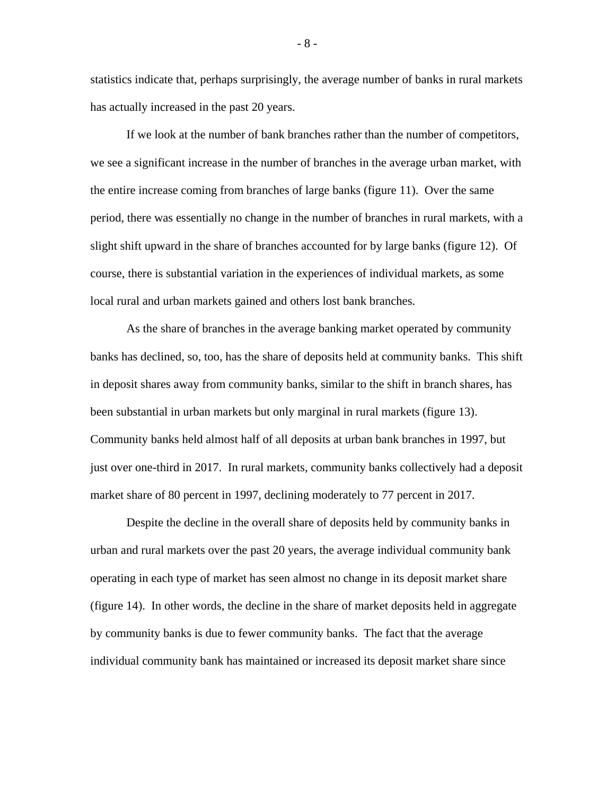statistics indicate that, perhaps surprisingly, the average number of banks in rural markets has actually increased in the past 20 years.

If we look at the number of bank branches rather than the number of competitors, we see a significant increase in the number of branches in the average urban market, with the entire increase coming from branches of large banks (figure 11). Over the same period, there was essentially no change in the number of branches in rural markets, with a slight shift upward in the share of branches accounted for by large banks (figure 12). Of course, there is substantial variation in the experiences of individual markets, as some local rural and urban markets gained and others lost bank branches.

As the share of branches in the average banking market operated by community banks has declined, so, too, has the share of deposits held at community banks. This shift in deposit shares away from community banks, similar to the shift in branch shares, has been substantial in urban markets but only marginal in rural markets (figure 13). Community banks held almost half of all deposits at urban bank branches in 1997, but just over one-third in 2017. In rural markets, community banks collectively had a deposit market share of 80 percent in 1997, declining moderately to 77 percent in 2017.

Despite the decline in the overall share of deposits held by community banks in urban and rural markets over the past 20 years, the average individual community bank operating in each type of market has seen almost no change in its deposit market share (figure 14). In other words, the decline in the share of market deposits held in aggregate by community banks is due to fewer community banks. The fact that the average individual community bank has maintained or increased its deposit market share since

- 8 -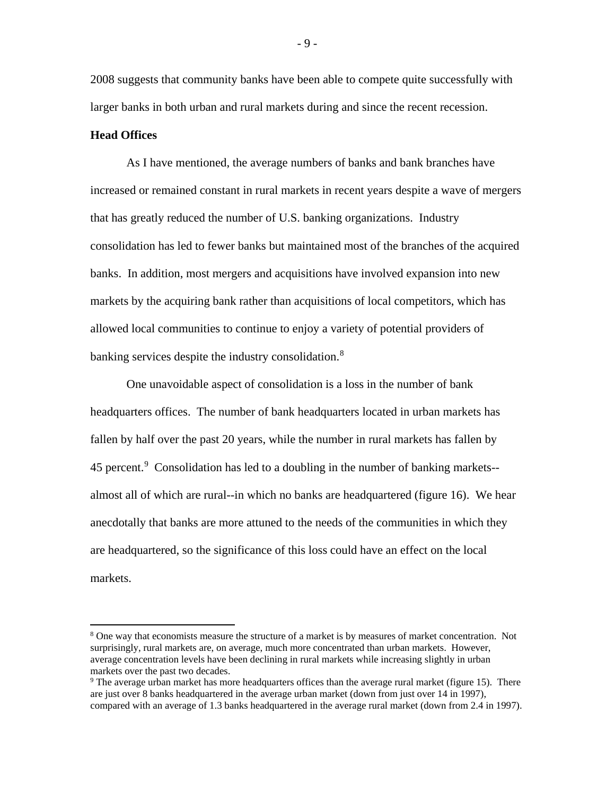2008 suggests that community banks have been able to compete quite successfully with larger banks in both urban and rural markets during and since the recent recession.

### **Head Offices**

As I have mentioned, the average numbers of banks and bank branches have increased or remained constant in rural markets in recent years despite a wave of mergers that has greatly reduced the number of U.S. banking organizations. Industry consolidation has led to fewer banks but maintained most of the branches of the acquired banks. In addition, most mergers and acquisitions have involved expansion into new markets by the acquiring bank rather than acquisitions of local competitors, which has allowed local communities to continue to enjoy a variety of potential providers of banking services despite the industry consolidation.<sup>[8](#page-9-0)</sup>

One unavoidable aspect of consolidation is a loss in the number of bank headquarters offices. The number of bank headquarters located in urban markets has fallen by half over the past 20 years, while the number in rural markets has fallen by 45 percent.<sup>[9](#page-9-1)</sup> Consolidation has led to a doubling in the number of banking markets-almost all of which are rural--in which no banks are headquartered (figure 16). We hear anecdotally that banks are more attuned to the needs of the communities in which they are headquartered, so the significance of this loss could have an effect on the local markets.

- 9 -

<span id="page-9-0"></span><sup>&</sup>lt;sup>8</sup> One way that economists measure the structure of a market is by measures of market concentration. Not surprisingly, rural markets are, on average, much more concentrated than urban markets. However, average concentration levels have been declining in rural markets while increasing slightly in urban markets over the past two decades.

<span id="page-9-1"></span> $9$  The average urban market has more headquarters offices than the average rural market (figure 15). There are just over 8 banks headquartered in the average urban market (down from just over 14 in 1997), compared with an average of 1.3 banks headquartered in the average rural market (down from 2.4 in 1997).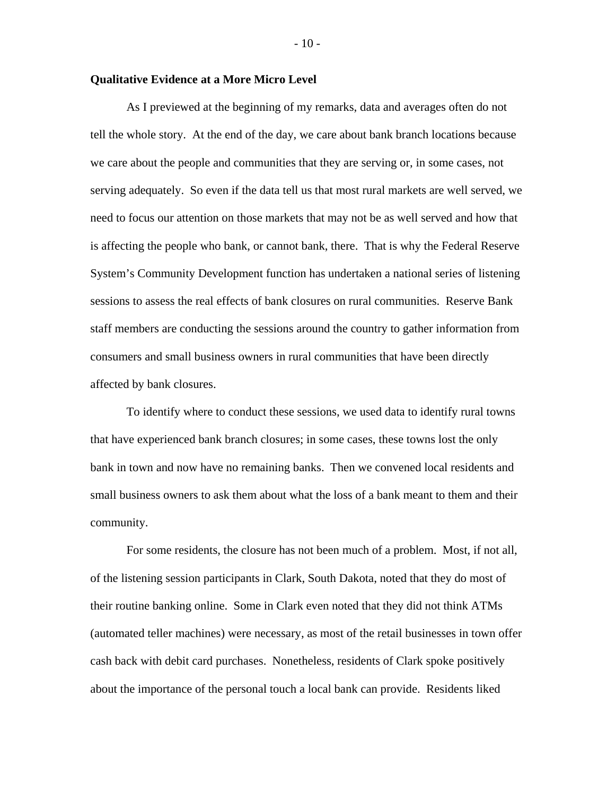## **Qualitative Evidence at a More Micro Level**

As I previewed at the beginning of my remarks, data and averages often do not tell the whole story. At the end of the day, we care about bank branch locations because we care about the people and communities that they are serving or, in some cases, not serving adequately. So even if the data tell us that most rural markets are well served, we need to focus our attention on those markets that may not be as well served and how that is affecting the people who bank, or cannot bank, there. That is why the Federal Reserve System's Community Development function has undertaken a national series of listening sessions to assess the real effects of bank closures on rural communities. Reserve Bank staff members are conducting the sessions around the country to gather information from consumers and small business owners in rural communities that have been directly affected by bank closures.

To identify where to conduct these sessions, we used data to identify rural towns that have experienced bank branch closures; in some cases, these towns lost the only bank in town and now have no remaining banks. Then we convened local residents and small business owners to ask them about what the loss of a bank meant to them and their community.

For some residents, the closure has not been much of a problem. Most, if not all, of the listening session participants in Clark, South Dakota, noted that they do most of their routine banking online. Some in Clark even noted that they did not think ATMs (automated teller machines) were necessary, as most of the retail businesses in town offer cash back with debit card purchases. Nonetheless, residents of Clark spoke positively about the importance of the personal touch a local bank can provide. Residents liked

 $-10-$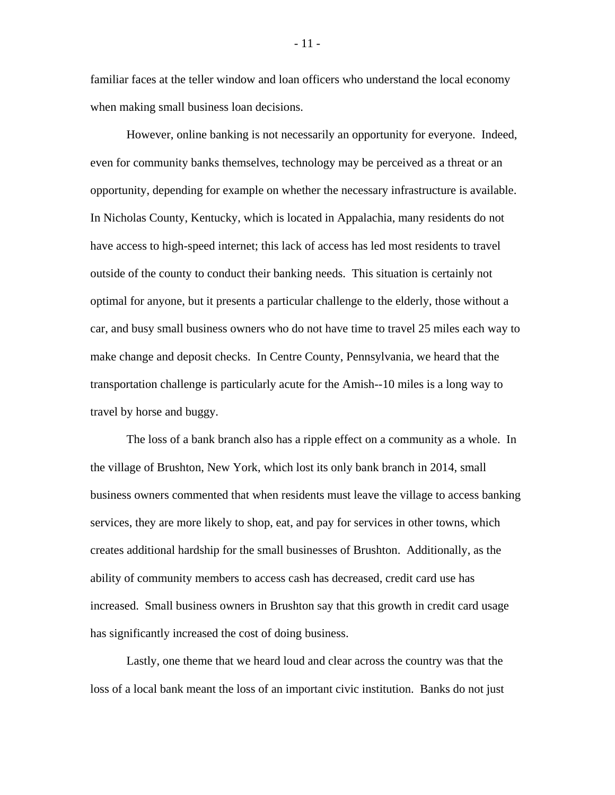familiar faces at the teller window and loan officers who understand the local economy when making small business loan decisions.

However, online banking is not necessarily an opportunity for everyone. Indeed, even for community banks themselves, technology may be perceived as a threat or an opportunity, depending for example on whether the necessary infrastructure is available. In Nicholas County, Kentucky, which is located in Appalachia, many residents do not have access to high-speed internet; this lack of access has led most residents to travel outside of the county to conduct their banking needs. This situation is certainly not optimal for anyone, but it presents a particular challenge to the elderly, those without a car, and busy small business owners who do not have time to travel 25 miles each way to make change and deposit checks. In Centre County, Pennsylvania, we heard that the transportation challenge is particularly acute for the Amish--10 miles is a long way to travel by horse and buggy.

The loss of a bank branch also has a ripple effect on a community as a whole. In the village of Brushton, New York, which lost its only bank branch in 2014, small business owners commented that when residents must leave the village to access banking services, they are more likely to shop, eat, and pay for services in other towns, which creates additional hardship for the small businesses of Brushton. Additionally, as the ability of community members to access cash has decreased, credit card use has increased. Small business owners in Brushton say that this growth in credit card usage has significantly increased the cost of doing business.

Lastly, one theme that we heard loud and clear across the country was that the loss of a local bank meant the loss of an important civic institution. Banks do not just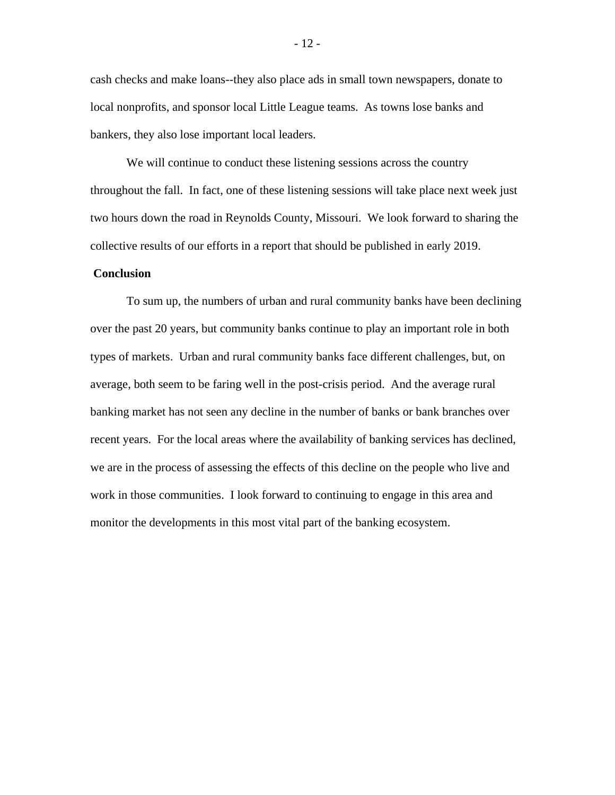cash checks and make loans--they also place ads in small town newspapers, donate to local nonprofits, and sponsor local Little League teams. As towns lose banks and bankers, they also lose important local leaders.

We will continue to conduct these listening sessions across the country throughout the fall. In fact, one of these listening sessions will take place next week just two hours down the road in Reynolds County, Missouri. We look forward to sharing the collective results of our efforts in a report that should be published in early 2019.

### **Conclusion**

To sum up, the numbers of urban and rural community banks have been declining over the past 20 years, but community banks continue to play an important role in both types of markets. Urban and rural community banks face different challenges, but, on average, both seem to be faring well in the post-crisis period. And the average rural banking market has not seen any decline in the number of banks or bank branches over recent years. For the local areas where the availability of banking services has declined, we are in the process of assessing the effects of this decline on the people who live and work in those communities. I look forward to continuing to engage in this area and monitor the developments in this most vital part of the banking ecosystem.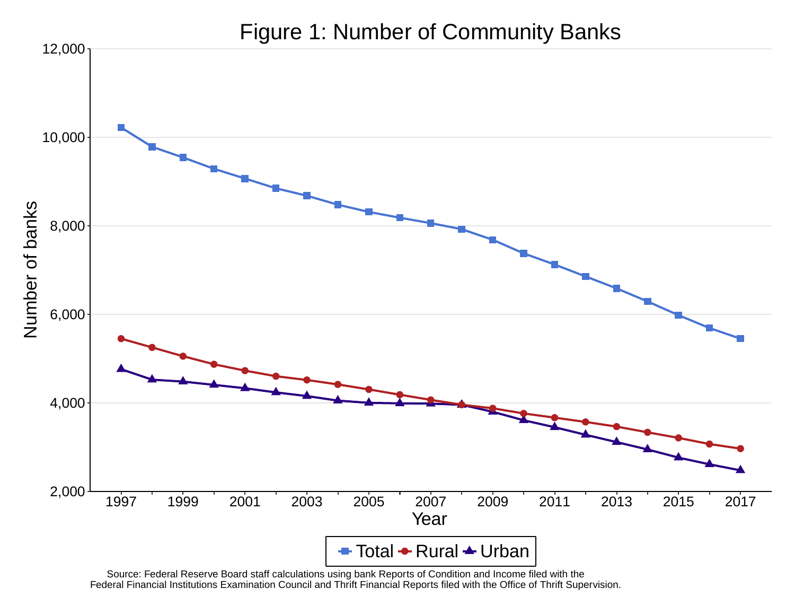

Source: Federal Reserve Board staff calculations using bank Reports of Condition and Income filed with the<br>Federal Financial Institutions Examination Council and Thrift Financial Reports filed with the Office of Thrift Sup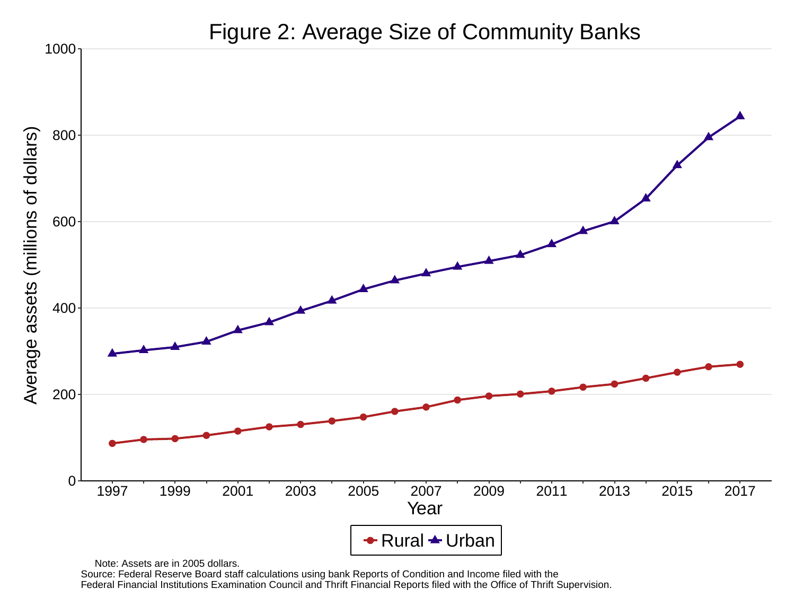

Note: Assets are in 2005 dollars.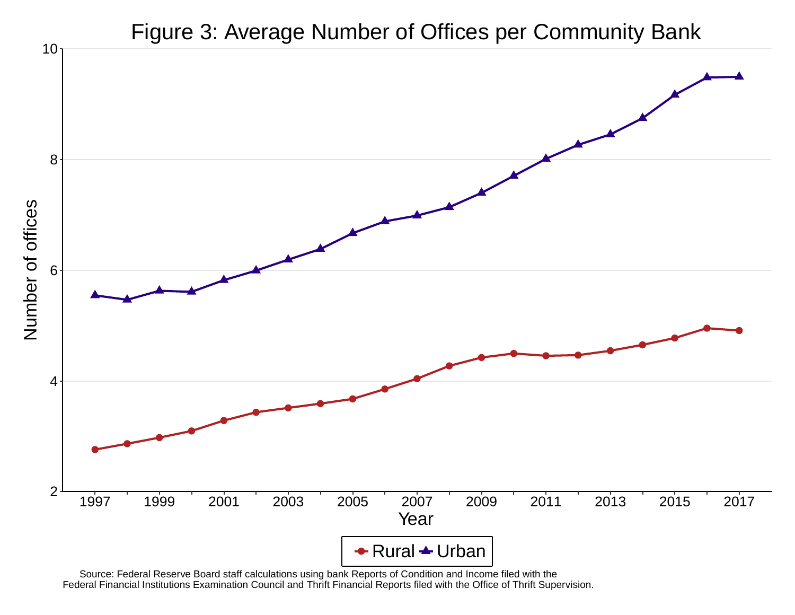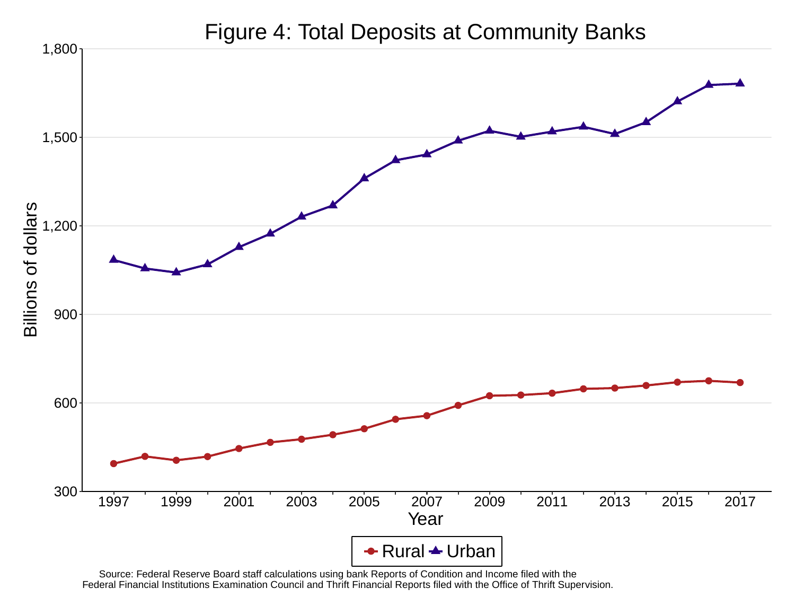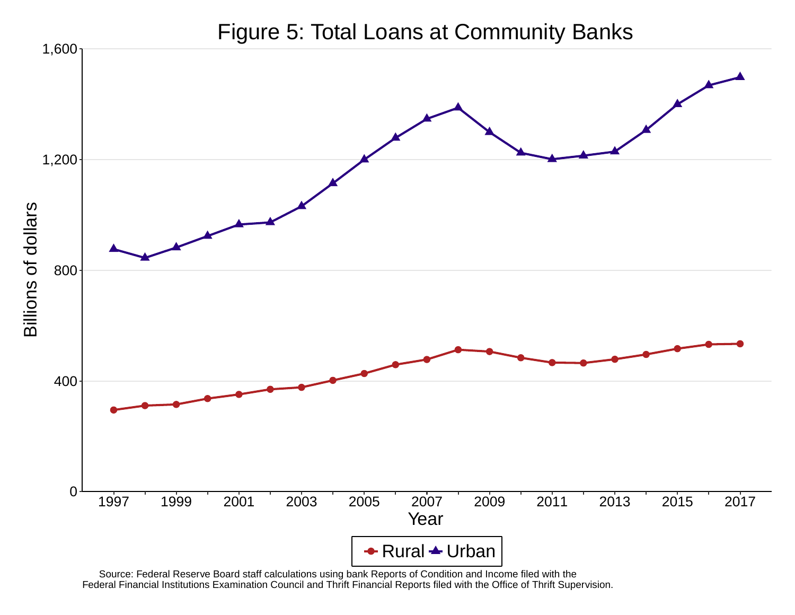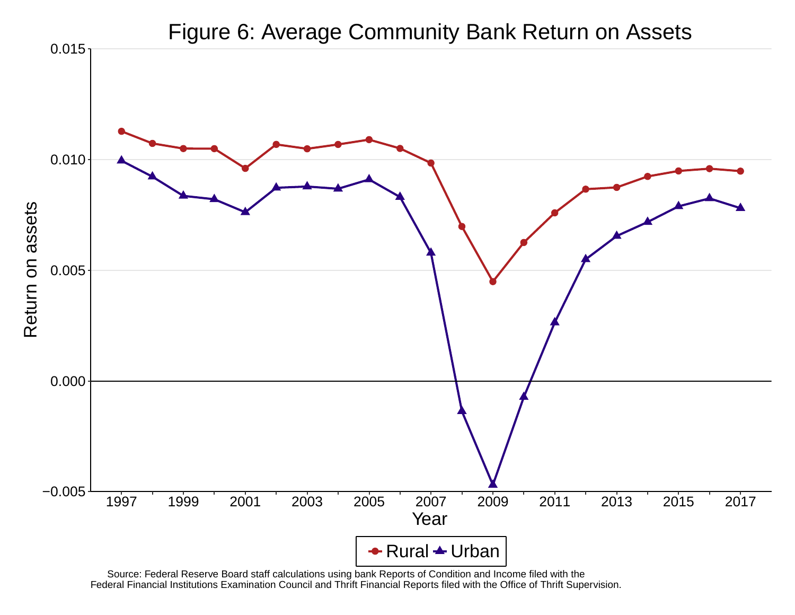

Source: Federal Reserve Board staff calculations using bank Reports of Condition and Income filed with the<br>Federal Financial Institutions Examination Council and Thrift Financial Reports filed with the Office of Thrift Sup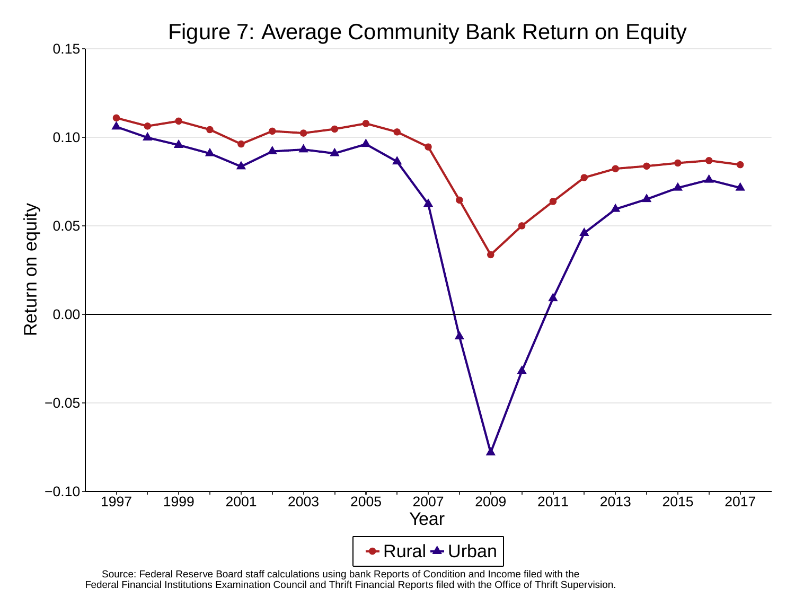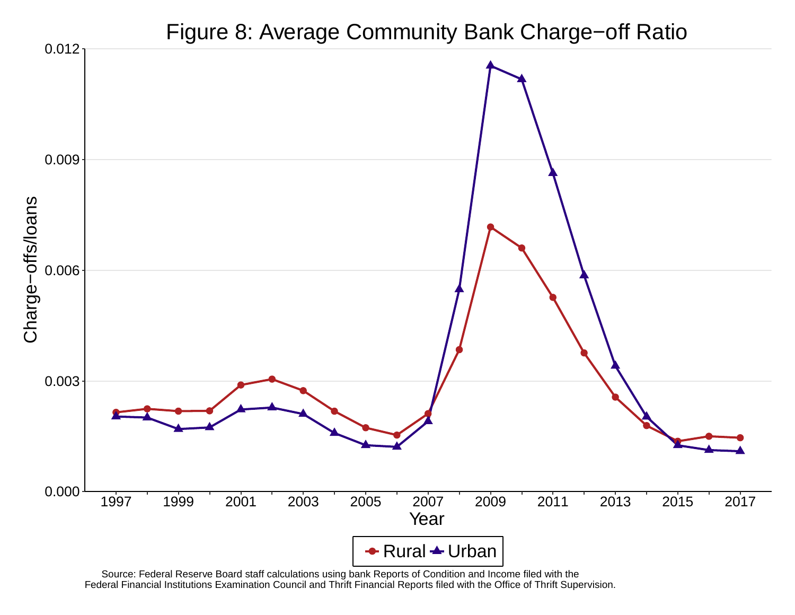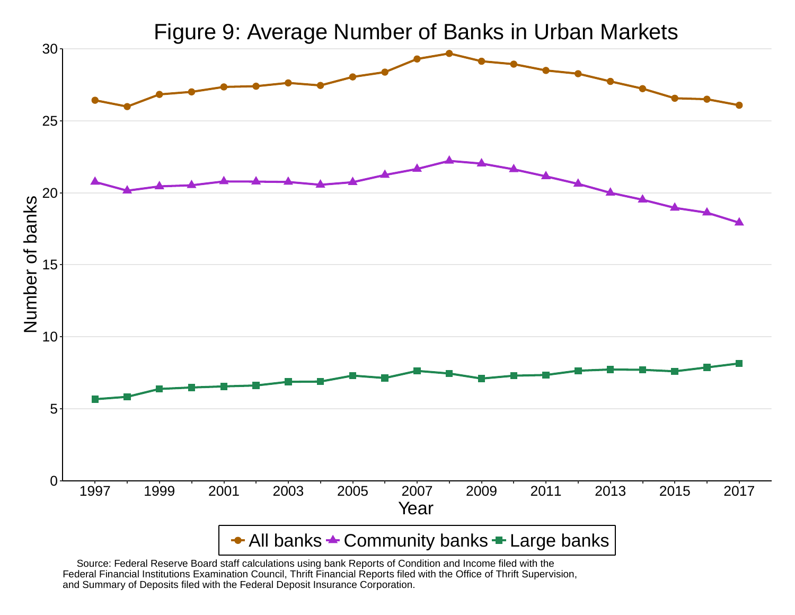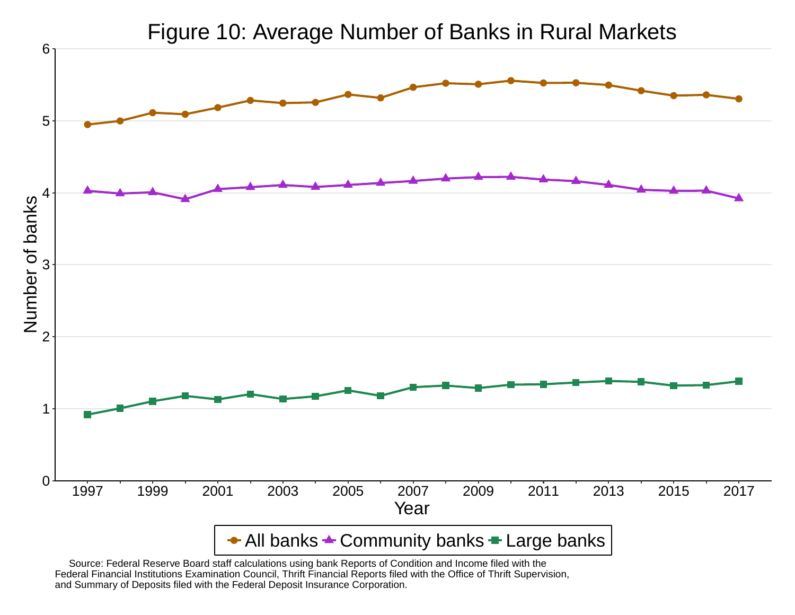

Figure 10: Average Number of Banks in Rural Markets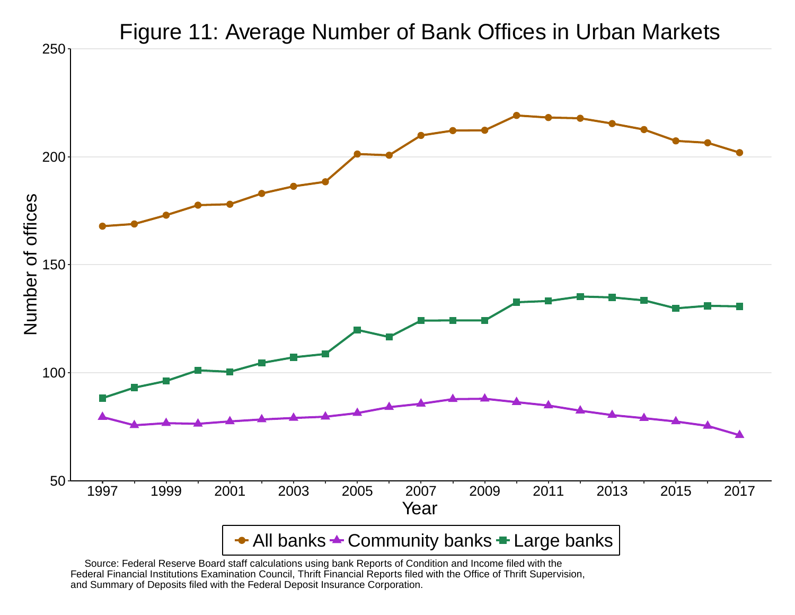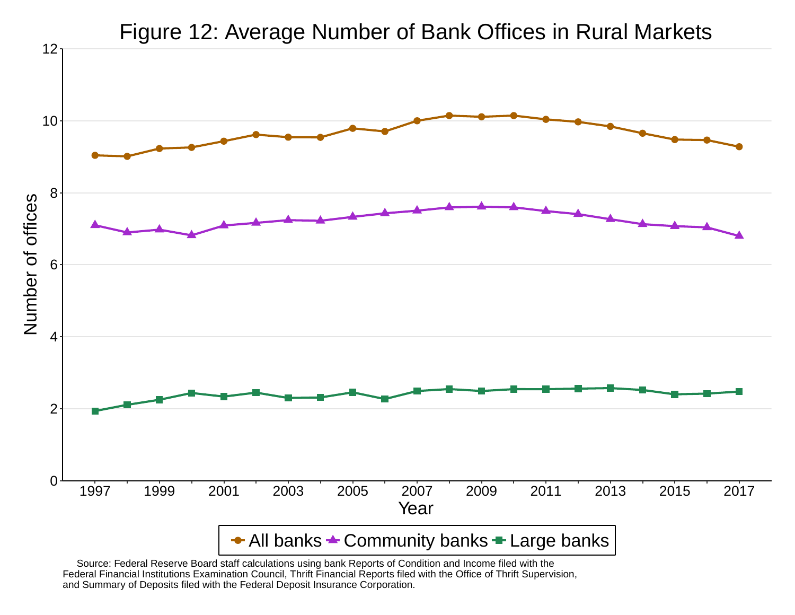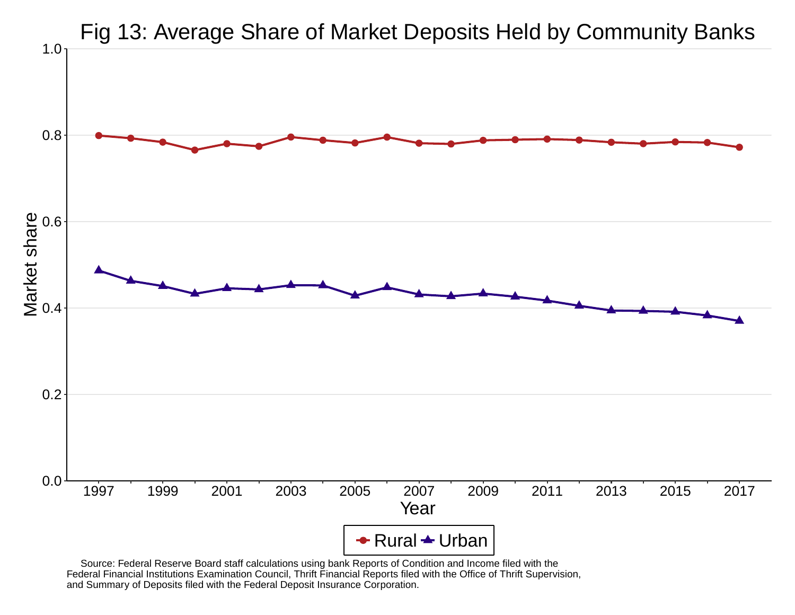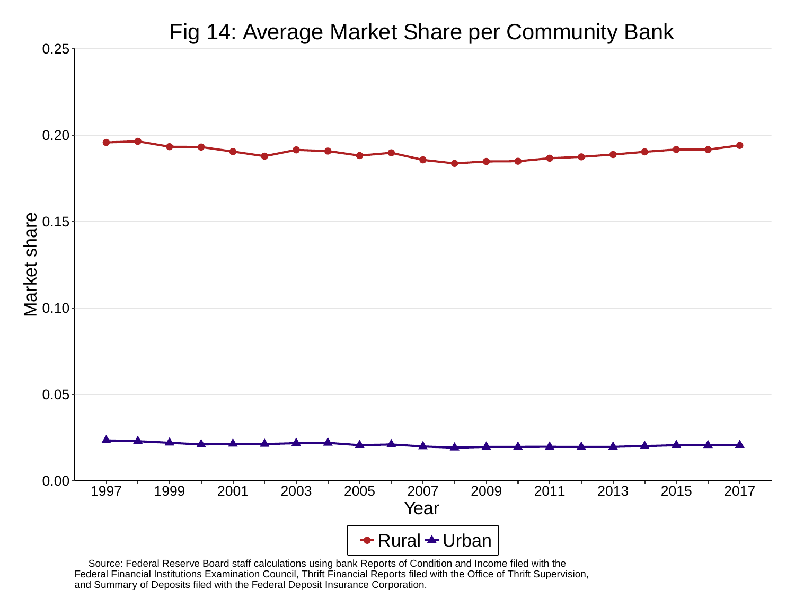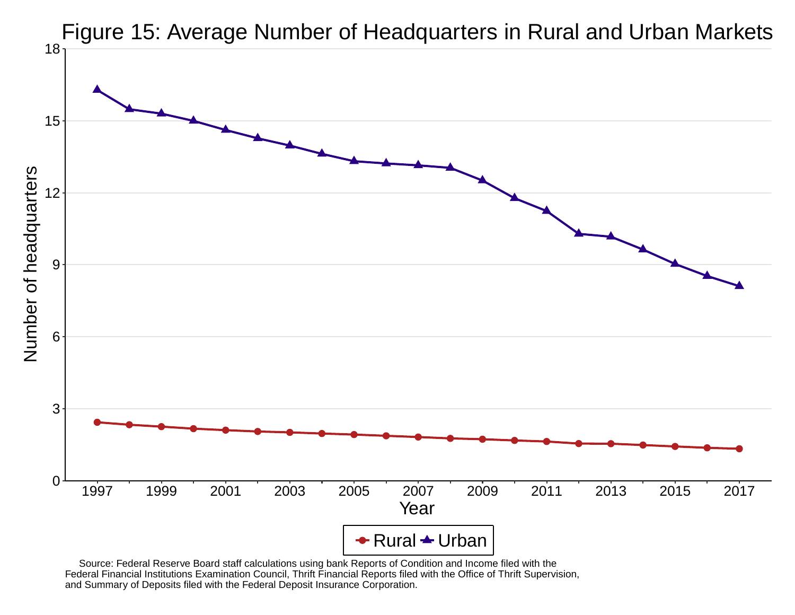

Source: Federal Reserve Board staff calculations using bank Reports of Condition and Income filed with the<br>Federal Financial Institutions Examination Council, Thrift Financial Reports filed with the Office of Thrift Superv